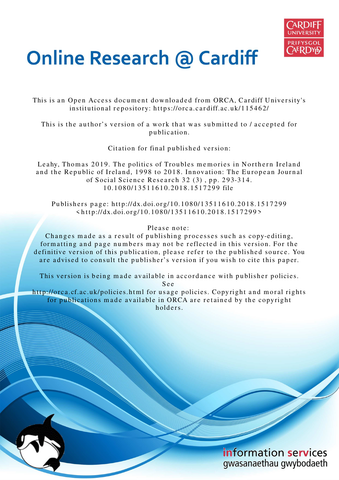

# **Online Research @ Cardiff**

This is an Open Access document downloaded from ORCA, Cardiff University's institutional repository: https://orca.cardiff.ac.uk/115462/

This is the author's version of a work that was submitted to / accepted for p u blication.

Citation for final published version:

Leahy, Thomas 2019. The politics of Troubles memories in Northern Ireland and the Republic of Ireland, 1998 to 2018. Innovation: The European Journal of Social Science Research  $32$  (3), pp. 293-314. 1 0.1 0 8 0/1 35 1 1 6 1 0.20 1 8.15 1 7 2 9 9 file

Publishers page: http://dx.doi.org/10.1080/13511610.2018.1517299  $\langle$ http://dx.doi.org/10.1080/13511610.2018.1517299>

Please note:

Changes made as a result of publishing processes such as copy-editing, formatting and page numbers may not be reflected in this version. For the definitive version of this publication, please refer to the published source. You are advised to consult the publisher's version if you wish to cite this paper.

This version is being made available in accordance with publisher policies. S e e

http://orca.cf.ac.uk/policies.html for usage policies. Copyright and moral rights for publications made available in ORCA are retained by the copyright holders



information services gwasanaethau gwybodaeth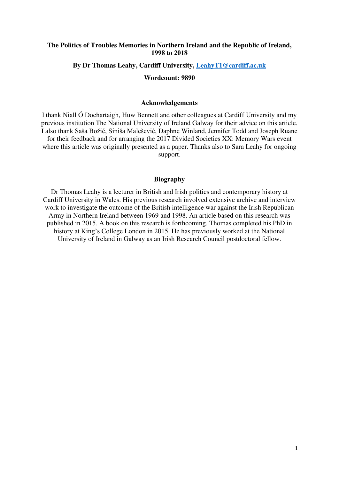#### **The Politics of Troubles Memories in Northern Ireland and the Republic of Ireland, 1998 to 2018**

#### **By Dr Thomas Leahy, Cardiff University, [LeahyT1@cardiff.ac.uk](mailto:LeahyT1@cardiff.ac.uk)**

#### **Wordcount: 9890**

#### **Acknowledgements**

I thank Niall Ó Dochartaigh, Huw Bennett and other colleagues at Cardiff University and my previous institution The National University of Ireland Galway for their advice on this article. I also thank Saša Božić, Siniša Malešević, Daphne Winland, Jennifer Todd and Joseph Ruane for their feedback and for arranging the 2017 Divided Societies XX: Memory Wars event where this article was originally presented as a paper. Thanks also to Sara Leahy for ongoing support.

#### **Biography**

Dr Thomas Leahy is a lecturer in British and Irish politics and contemporary history at Cardiff University in Wales. His previous research involved extensive archive and interview work to investigate the outcome of the British intelligence war against the Irish Republican Army in Northern Ireland between 1969 and 1998. An article based on this research was published in 2015. A book on this research is forthcoming. Thomas completed his PhD in history at King's College London in 2015. He has previously worked at the National University of Ireland in Galway as an Irish Research Council postdoctoral fellow.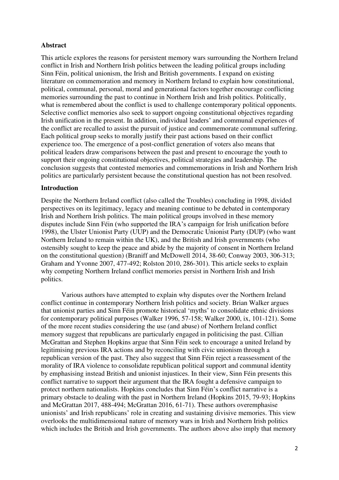# **Abstract**

This article explores the reasons for persistent memory wars surrounding the Northern Ireland conflict in Irish and Northern Irish politics between the leading political groups including Sinn Féin, political unionism, the Irish and British governments. I expand on existing literature on commemoration and memory in Northern Ireland to explain how constitutional, political, communal, personal, moral and generational factors together encourage conflicting memories surrounding the past to continue in Northern Irish and Irish politics. Politically, what is remembered about the conflict is used to challenge contemporary political opponents. Selective conflict memories also seek to support ongoing constitutional objectives regarding Irish unification in the present. In addition, individual leaders' and communal experiences of the conflict are recalled to assist the pursuit of justice and commemorate communal suffering. Each political group seeks to morally justify their past actions based on their conflict experience too. The emergence of a post-conflict generation of voters also means that political leaders draw comparisons between the past and present to encourage the youth to support their ongoing constitutional objectives, political strategies and leadership. The conclusion suggests that contested memories and commemorations in Irish and Northern Irish politics are particularly persistent because the constitutional question has not been resolved.

# **Introduction**

Despite the Northern Ireland conflict (also called the Troubles) concluding in 1998, divided perspectives on its legitimacy, legacy and meaning continue to be debated in contemporary Irish and Northern Irish politics. The main political groups involved in these memory disputes include Sinn Féin (who supported the IRA's campaign for Irish unification before 1998), the Ulster Unionist Party (UUP) and the Democratic Unionist Party (DUP) (who want Northern Ireland to remain within the UK), and the British and Irish governments (who ostensibly sought to keep the peace and abide by the majority of consent in Northern Ireland on the constitutional question) (Braniff and McDowell 2014, 38-60; Conway 2003, 306-313; Graham and Yvonne 2007, 477-492; Rolston 2010, 286-301). This article seeks to explain why competing Northern Ireland conflict memories persist in Northern Irish and Irish politics.

 Various authors have attempted to explain why disputes over the Northern Ireland conflict continue in contemporary Northern Irish politics and society. Brian Walker argues that unionist parties and Sinn Féin promote historical 'myths' to consolidate ethnic divisions for contemporary political purposes (Walker 1996, 57-158; Walker 2000, ix, 101-121). Some of the more recent studies considering the use (and abuse) of Northern Ireland conflict memory suggest that republicans are particularly engaged in politicising the past. Cillian McGrattan and Stephen Hopkins argue that Sinn Féin seek to encourage a united Ireland by legitimising previous IRA actions and by reconciling with civic unionism through a republican version of the past. They also suggest that Sinn Féin reject a reassessment of the morality of IRA violence to consolidate republican political support and communal identity by emphasising instead British and unionist injustices. In their view, Sinn Féin presents this conflict narrative to support their argument that the IRA fought a defensive campaign to protect northern nationalists. Hopkins concludes that Sinn Féin's conflict narrative is a primary obstacle to dealing with the past in Northern Ireland (Hopkins 2015, 79-93; Hopkins and McGrattan 2017, 488-494; McGrattan 2016, 61-71). These authors overemphasise unionists' and Irish republicans' role in creating and sustaining divisive memories. This view overlooks the multidimensional nature of memory wars in Irish and Northern Irish politics which includes the British and Irish governments. The authors above also imply that memory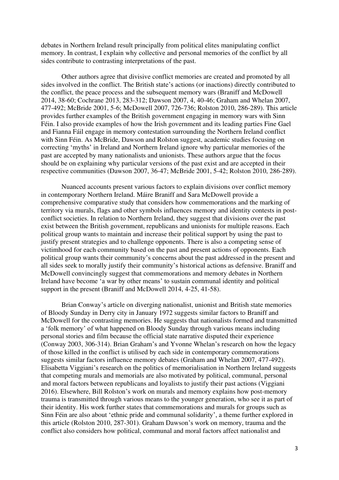debates in Northern Ireland result principally from political elites manipulating conflict memory. In contrast, I explain why collective and personal memories of the conflict by all sides contribute to contrasting interpretations of the past.

Other authors agree that divisive conflict memories are created and promoted by all sides involved in the conflict. The British state's actions (or inactions) directly contributed to the conflict, the peace process and the subsequent memory wars (Braniff and McDowell 2014, 38-60; Cochrane 2013, 283-312; Dawson 2007, 4, 40-46; Graham and Whelan 2007, 477-492; McBride 2001, 5-6; McDowell 2007, 726-736; Rolston 2010, 286-289). This article provides further examples of the British government engaging in memory wars with Sinn Féin. I also provide examples of how the Irish government and its leading parties Fine Gael and Fianna Fáil engage in memory contestation surrounding the Northern Ireland conflict with Sinn Féin. As McBride, Dawson and Rolston suggest, academic studies focusing on correcting 'myths' in Ireland and Northern Ireland ignore why particular memories of the past are accepted by many nationalists and unionists. These authors argue that the focus should be on explaining why particular versions of the past exist and are accepted in their respective communities (Dawson 2007, 36-47; McBride 2001, 5-42; Rolston 2010, 286-289).

Nuanced accounts present various factors to explain divisions over conflict memory in contemporary Northern Ireland. Máire Braniff and Sara McDowell provide a comprehensive comparative study that considers how commemorations and the marking of territory via murals, flags and other symbols influences memory and identity contests in postconflict societies. In relation to Northern Ireland, they suggest that divisions over the past exist between the British government, republicans and unionists for multiple reasons. Each political group wants to maintain and increase their political support by using the past to justify present strategies and to challenge opponents. There is also a competing sense of victimhood for each community based on the past and present actions of opponents. Each political group wants their community's concerns about the past addressed in the present and all sides seek to morally justify their community's historical actions as defensive. Braniff and McDowell convincingly suggest that commemorations and memory debates in Northern Ireland have become 'a war by other means' to sustain communal identity and political support in the present (Braniff and McDowell 2014, 4-25, 41-58).

Brian Conway's article on diverging nationalist, unionist and British state memories of Bloody Sunday in Derry city in January 1972 suggests similar factors to Braniff and McDowell for the contrasting memories. He suggests that nationalists formed and transmitted a 'folk memory' of what happened on Bloody Sunday through various means including personal stories and film because the official state narrative disputed their experience (Conway 2003, 306-314). Brian Graham's and Yvonne Whelan's research on how the legacy of those killed in the conflict is utilised by each side in contemporary commemorations suggests similar factors influence memory debates (Graham and Whelan 2007, 477-492). Elisabetta Viggiani's research on the politics of memorialisation in Northern Ireland suggests that competing murals and memorials are also motivated by political, communal, personal and moral factors between republicans and loyalists to justify their past actions (Viggiani 2016). Elsewhere, Bill Rolston's work on murals and memory explains how post-memory trauma is transmitted through various means to the younger generation, who see it as part of their identity. His work further states that commemorations and murals for groups such as Sinn Féin are also about 'ethnic pride and communal solidarity', a theme further explored in this article (Rolston 2010, 287-301). Graham Dawson's work on memory, trauma and the conflict also considers how political, communal and moral factors affect nationalist and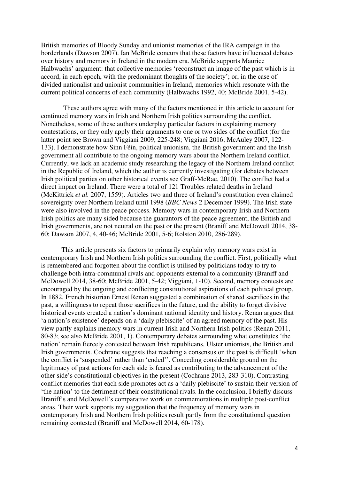British memories of Bloody Sunday and unionist memories of the IRA campaign in the borderlands (Dawson 2007). Ian McBride concurs that these factors have influenced debates over history and memory in Ireland in the modern era. McBride supports Maurice Halbwachs' argument: that collective memories 'reconstruct an image of the past which is in accord, in each epoch, with the predominant thoughts of the society'; or, in the case of divided nationalist and unionist communities in Ireland, memories which resonate with the current political concerns of each community (Halbwachs 1992, 40; McBride 2001, 5-42).

These authors agree with many of the factors mentioned in this article to account for continued memory wars in Irish and Northern Irish politics surrounding the conflict. Nonetheless, some of these authors underplay particular factors in explaining memory contestations, or they only apply their arguments to one or two sides of the conflict (for the latter point see Brown and Viggiani 2009, 225-248; Viggiani 2016; McAuley 2007, 122- 133). I demonstrate how Sinn Féin, political unionism, the British government and the Irish government all contribute to the ongoing memory wars about the Northern Ireland conflict. Currently, we lack an academic study researching the legacy of the Northern Ireland conflict in the Republic of Ireland, which the author is currently investigating (for debates between Irish political parties on other historical events see Graff-McRae, 2010). The conflict had a direct impact on Ireland. There were a total of 121 Troubles related deaths in Ireland (McKittrick *et al.* 2007, 1559). Articles two and three of Ireland's constitution even claimed sovereignty over Northern Ireland until 1998 (*BBC News* 2 December 1999). The Irish state were also involved in the peace process. Memory wars in contemporary Irish and Northern Irish politics are many sided because the guarantors of the peace agreement, the British and Irish governments, are not neutral on the past or the present (Braniff and McDowell 2014, 38- 60; Dawson 2007, 4, 40-46; McBride 2001, 5-6; Rolston 2010, 286-289).

This article presents six factors to primarily explain why memory wars exist in contemporary Irish and Northern Irish politics surrounding the conflict. First, politically what is remembered and forgotten about the conflict is utilised by politicians today to try to challenge both intra-communal rivals and opponents external to a community (Braniff and McDowell 2014, 38-60; McBride 2001, 5-42; Viggiani, 1-10). Second, memory contests are encouraged by the ongoing and conflicting constitutional aspirations of each political group. In 1882, French historian Ernest Renan suggested a combination of shared sacrifices in the past, a willingness to repeat those sacrifices in the future, and the ability to forget divisive historical events created a nation's dominant national identity and history. Renan argues that 'a nation's existence' depends on a 'daily plebiscite' of an agreed memory of the past. His view partly explains memory wars in current Irish and Northern Irish politics (Renan 2011, 80-83; see also McBride 2001, 1). Contemporary debates surrounding what constitutes 'the nation' remain fiercely contested between Irish republicans, Ulster unionists, the British and Irish governments. Cochrane suggests that reaching a consensus on the past is difficult 'when the conflict is 'suspended' rather than 'ended''. Conceding considerable ground on the legitimacy of past actions for each side is feared as contributing to the advancement of the other side's constitutional objectives in the present (Cochrane 2013, 283-310). Contrasting conflict memories that each side promotes act as a 'daily plebiscite' to sustain their version of 'the nation' to the detriment of their constitutional rivals. In the conclusion, I briefly discuss Braniff's and McDowell's comparative work on commemorations in multiple post-conflict areas. Their work supports my suggestion that the frequency of memory wars in contemporary Irish and Northern Irish politics result partly from the constitutional question remaining contested (Braniff and McDowell 2014, 60-178).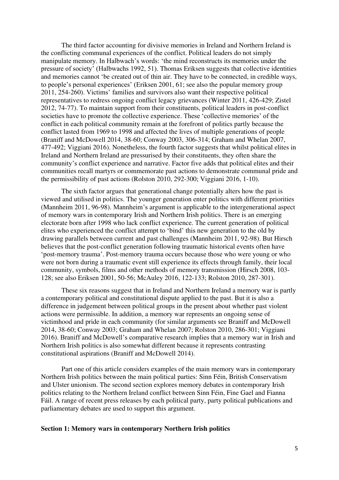The third factor accounting for divisive memories in Ireland and Northern Ireland is the conflicting communal experiences of the conflict. Political leaders do not simply manipulate memory. In Halbwach's words: 'the mind reconstructs its memories under the pressure of society' (Halbwachs 1992, 51). Thomas Eriksen suggests that collective identities and memories cannot 'be created out of thin air. They have to be connected, in credible ways, to people's personal experiences' (Eriksen 2001, 61; see also the popular memory group 2011, 254-260). Victims' families and survivors also want their respective political representatives to redress ongoing conflict legacy grievances (Winter 2011, 426-429; Zistel 2012, 74-77). To maintain support from their constituents, political leaders in post-conflict societies have to promote the collective experience. These 'collective memories' of the conflict in each political community remain at the forefront of politics partly because the conflict lasted from 1969 to 1998 and affected the lives of multiple generations of people (Braniff and McDowell 2014, 38-60; Conway 2003, 306-314; Graham and Whelan 2007, 477-492; Viggiani 2016). Nonetheless, the fourth factor suggests that whilst political elites in Ireland and Northern Ireland are pressurised by their constituents, they often share the community's conflict experience and narrative. Factor five adds that political elites and their communities recall martyrs or commemorate past actions to demonstrate communal pride and the permissibility of past actions (Rolston 2010, 292-300; Viggiani 2016, 1-10).

The sixth factor argues that generational change potentially alters how the past is viewed and utilised in politics. The younger generation enter politics with different priorities (Mannheim 2011, 96-98). Mannheim's argument is applicable to the intergenerational aspect of memory wars in contemporary Irish and Northern Irish politics. There is an emerging electorate born after 1998 who lack conflict experience. The current generation of political elites who experienced the conflict attempt to 'bind' this new generation to the old by drawing parallels between current and past challenges (Mannheim 2011, 92-98). But Hirsch believes that the post-conflict generation following traumatic historical events often have 'post-memory trauma'. Post-memory trauma occurs because those who were young or who were not born during a traumatic event still experience its effects through family, their local community, symbols, films and other methods of memory transmission (Hirsch 2008, 103- 128; see also Eriksen 2001, 50-56; McAuley 2016, 122-133; Rolston 2010, 287-301).

These six reasons suggest that in Ireland and Northern Ireland a memory war is partly a contemporary political and constitutional dispute applied to the past. But it is also a difference in judgement between political groups in the present about whether past violent actions were permissible. In addition, a memory war represents an ongoing sense of victimhood and pride in each community (for similar arguments see Braniff and McDowell 2014, 38-60; Conway 2003; Graham and Whelan 2007; Rolston 2010, 286-301; Viggiani 2016). Braniff and McDowell's comparative research implies that a memory war in Irish and Northern Irish politics is also somewhat different because it represents contrasting constitutional aspirations (Braniff and McDowell 2014).

 Part one of this article considers examples of the main memory wars in contemporary Northern Irish politics between the main political parties: Sinn Féin, British Conservatism and Ulster unionism. The second section explores memory debates in contemporary Irish politics relating to the Northern Ireland conflict between Sinn Féin, Fine Gael and Fianna Fáil. A range of recent press releases by each political party, party political publications and parliamentary debates are used to support this argument.

#### **Section 1: Memory wars in contemporary Northern Irish politics**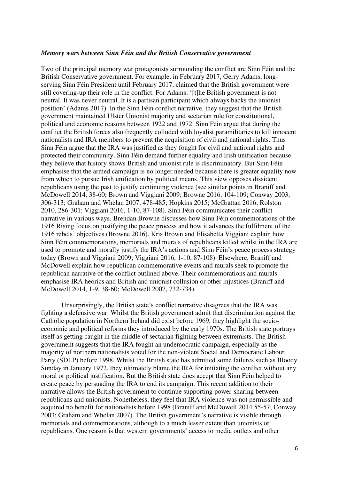#### *Memory wars between Sinn Féin and the British Conservative government*

Two of the principal memory war protagonists surrounding the conflict are Sinn Féin and the British Conservative government. For example, in February 2017, Gerry Adams, longserving Sinn Féin President until February 2017, claimed that the British government were still covering-up their role in the conflict. For Adams: '[t]he British government is not neutral. It was never neutral. It is a partisan participant which always backs the unionist position' (Adams 2017). In the Sinn Féin conflict narrative, they suggest that the British government maintained Ulster Unionist majority and sectarian rule for constitutional, political and economic reasons between 1922 and 1972. Sinn Féin argue that during the conflict the British forces also frequently colluded with loyalist paramilitaries to kill innocent nationalists and IRA members to prevent the acquisition of civil and national rights. Thus Sinn Féin argue that the IRA was justified as they fought for civil and national rights and protected their community. Sinn Féin demand further equality and Irish unification because they believe that history shows British and unionist rule is discriminatory. But Sinn Féin emphasise that the armed campaign is no longer needed because there is greater equality now from which to pursue Irish unification by political means. This view opposes dissident republicans using the past to justify continuing violence (see similar points in Braniff and McDowell 2014, 38-60; Brown and Viggiani 2009; Browne 2016, 104-109; Conway 2003, 306-313; Graham and Whelan 2007, 478-485; Hopkins 2015; McGrattan 2016; Rolston 2010, 286-301; Viggiani 2016, 1-10, 87-108). Sinn Féin communicates their conflict narrative in various ways. Brendan Browne discusses how Sinn Féin commemorations of the 1916 Rising focus on justifying the peace process and how it advances the fulfilment of the 1916 rebels' objectives (Browne 2016). Kris Brown and Elisabetta Viggiani explain how Sinn Féin commemorations, memorials and murals of republicans killed whilst in the IRA are used to promote and morally justify the IRA's actions and Sinn Féin's peace process strategy today (Brown and Viggiani 2009; Viggiani 2016, 1-10, 87-108). Elsewhere, Braniff and McDowell explain how republican commemorative events and murals seek to promote the republican narrative of the conflict outlined above. Their commemorations and murals emphasise IRA heorics and British and unionist collusion or other injustices (Braniff and McDowell 2014, 1-9, 38-60; McDowell 2007, 732-734).

Unsurprisingly, the British state's conflict narrative disagrees that the IRA was fighting a defensive war. Whilst the British government admit that discrimination against the Catholic population in Northern Ireland did exist before 1969, they highlight the socioeconomic and political reforms they introduced by the early 1970s. The British state portrays itself as getting caught in the middle of sectarian fighting between extremists. The British government suggests that the IRA fought an undemocratic campaign, especially as the majority of northern nationalists voted for the non-violent Social and Democratic Labour Party (SDLP) before 1998. Whilst the British state has admitted some failures such as Bloody Sunday in January 1972, they ultimately blame the IRA for initiating the conflict without any moral or political justification. But the British state does accept that Sinn Féin helped to create peace by persuading the IRA to end its campaign. This recent addition to their narrative allows the British government to continue supporting power-sharing between republicans and unionists. Nonetheless, they feel that IRA violence was not permissible and acquired no benefit for nationalists before 1998 (Braniff and McDowell 2014 55-57; Conway 2003; Graham and Whelan 2007). The British government's narrative is visible through memorials and commemorations, although to a much lesser extent than unionists or republicans. One reason is that western governments' access to media outlets and other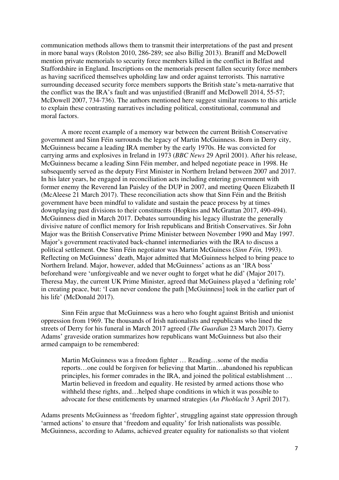communication methods allows them to transmit their interpretations of the past and present in more banal ways (Rolston 2010, 286-289; see also Billig 2013). Braniff and McDowell mention private memorials to security force members killed in the conflict in Belfast and Staffordshire in England. Inscriptions on the memorials present fallen security force members as having sacrificed themselves upholding law and order against terrorists. This narrative surrounding deceased security force members supports the British state's meta-narrative that the conflict was the IRA's fault and was unjustified (Braniff and McDowell 2014, 55-57; McDowell 2007, 734-736). The authors mentioned here suggest similar reasons to this article to explain these contrasting narratives including political, constitutional, communal and moral factors.

A more recent example of a memory war between the current British Conservative government and Sinn Féin surrounds the legacy of Martin McGuinness. Born in Derry city, McGuinness became a leading IRA member by the early 1970s. He was convicted for carrying arms and explosives in Ireland in 1973 (*BBC News* 29 April 2001). After his release, McGuinness became a leading Sinn Féin member, and helped negotiate peace in 1998. He subsequently served as the deputy First Minister in Northern Ireland between 2007 and 2017. In his later years, he engaged in reconciliation acts including entering government with former enemy the Reverend Ian Paisley of the DUP in 2007, and meeting Queen Elizabeth II (McAleese 21 March 2017). These reconciliation acts show that Sinn Féin and the British government have been mindful to validate and sustain the peace process by at times downplaying past divisions to their constituents (Hopkins and McGrattan 2017, 490-494). McGuinness died in March 2017. Debates surrounding his legacy illustrate the generally divisive nature of conflict memory for Irish republicans and British Conservatives. Sir John Major was the British Conservative Prime Minister between November 1990 and May 1997. Major's government reactivated back-channel intermediaries with the IRA to discuss a political settlement. One Sinn Féin negotiator was Martin McGuiness (*Sinn Féin,* 1993). Reflecting on McGuinness' death, Major admitted that McGuinness helped to bring peace to Northern Ireland. Major, however, added that McGuinness' actions as an 'IRA boss' beforehand were 'unforgiveable and we never ought to forget what he did' (Major 2017). Theresa May, the current UK Prime Minister, agreed that McGuiness played a 'defining role' in creating peace, but: 'I can never condone the path [McGuinness] took in the earlier part of his life' (McDonald 2017).

Sinn Féin argue that McGuinness was a hero who fought against British and unionist oppression from 1969. The thousands of Irish nationalists and republicans who lined the streets of Derry for his funeral in March 2017 agreed (*The Guardian* 23 March 2017). Gerry Adams' graveside oration summarizes how republicans want McGuinness but also their armed campaign to be remembered:

Martin McGuinness was a freedom fighter … Reading…some of the media reports…one could be forgiven for believing that Martin…abandoned his republican principles, his former comrades in the IRA, and joined the political establishment … Martin believed in freedom and equality. He resisted by armed actions those who withheld these rights, and…helped shape conditions in which it was possible to advocate for these entitlements by unarmed strategies (*An Phoblacht* 3 April 2017).

Adams presents McGuinness as 'freedom fighter', struggling against state oppression through 'armed actions' to ensure that 'freedom and equality' for Irish nationalists was possible. McGuinness, according to Adams, achieved greater equality for nationalists so that violent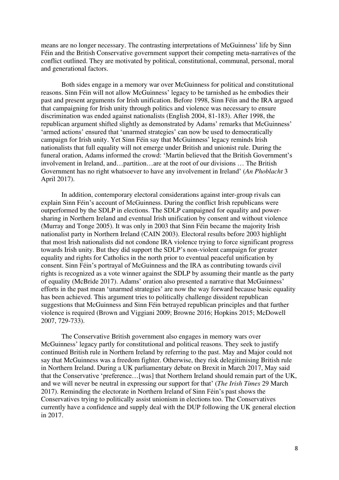means are no longer necessary. The contrasting interpretations of McGuinness' life by Sinn Féin and the British Conservative government support their competing meta-narratives of the conflict outlined. They are motivated by political, constitutional, communal, personal, moral and generational factors.

Both sides engage in a memory war over McGuinness for political and constitutional reasons. Sinn Féin will not allow McGuinness' legacy to be tarnished as he embodies their past and present arguments for Irish unification. Before 1998, Sinn Féin and the IRA argued that campaigning for Irish unity through politics and violence was necessary to ensure discrimination was ended against nationalists (English 2004, 81-183). After 1998, the republican argument shifted slightly as demonstrated by Adams' remarks that McGuinness' 'armed actions' ensured that 'unarmed strategies' can now be used to democratically campaign for Irish unity. Yet Sinn Féin say that McGuinness' legacy reminds Irish nationalists that full equality will not emerge under British and unionist rule. During the funeral oration, Adams informed the crowd: 'Martin believed that the British Government's involvement in Ireland, and…partition…are at the root of our divisions … The British Government has no right whatsoever to have any involvement in Ireland' (*An Phoblacht* 3 April 2017).

In addition, contemporary electoral considerations against inter-group rivals can explain Sinn Féin's account of McGuinness. During the conflict Irish republicans were outperformed by the SDLP in elections. The SDLP campaigned for equality and powersharing in Northern Ireland and eventual Irish unification by consent and without violence (Murray and Tonge 2005). It was only in 2003 that Sinn Féin became the majority Irish nationalist party in Northern Ireland (CAIN 2003). Electoral results before 2003 highlight that most Irish nationalists did not condone IRA violence trying to force significant progress towards Irish unity. But they did support the SDLP's non-violent campaign for greater equality and rights for Catholics in the north prior to eventual peaceful unification by consent. Sinn Féin's portrayal of McGuinness and the IRA as contributing towards civil rights is recognized as a vote winner against the SDLP by assuming their mantle as the party of equality (McBride 2017). Adams' oration also presented a narrative that McGuinness' efforts in the past mean 'unarmed strategies' are now the way forward because basic equality has been achieved. This argument tries to politically challenge dissident republican suggestions that McGuinness and Sinn Féin betrayed republican principles and that further violence is required (Brown and Viggiani 2009; Browne 2016; Hopkins 2015; McDowell 2007, 729-733).

The Conservative British government also engages in memory wars over McGuinness' legacy partly for constitutional and political reasons. They seek to justify continued British rule in Northern Ireland by referring to the past. May and Major could not say that McGuinness was a freedom fighter. Otherwise, they risk delegitimising British rule in Northern Ireland. During a UK parliamentary debate on Brexit in March 2017, May said that the Conservative 'preference…[was] that Northern Ireland should remain part of the UK, and we will never be neutral in expressing our support for that' (*The Irish Times* 29 March 2017). Reminding the electorate in Northern Ireland of Sinn Féin's past shows the Conservatives trying to politically assist unionism in elections too. The Conservatives currently have a confidence and supply deal with the DUP following the UK general election in 2017.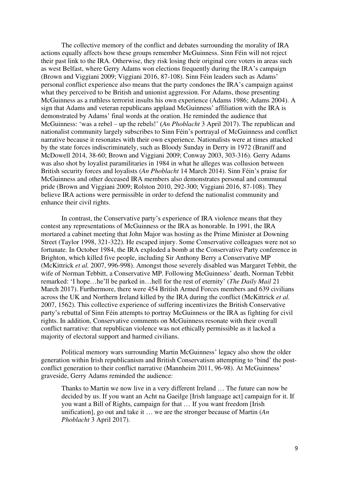The collective memory of the conflict and debates surrounding the morality of IRA actions equally affects how these groups remember McGuinness. Sinn Féin will not reject their past link to the IRA. Otherwise, they risk losing their original core voters in areas such as west Belfast, where Gerry Adams won elections frequently during the IRA's campaign (Brown and Viggiani 2009; Viggiani 2016, 87-108). Sinn Féin leaders such as Adams' personal conflict experience also means that the party condones the IRA's campaign against what they perceived to be British and unionist aggression. For Adams, those presenting McGuinness as a ruthless terrorist insults his own experience (Adams 1986; Adams 2004). A sign that Adams and veteran republicans applaud McGuinness' affiliation with the IRA is demonstrated by Adams' final words at the oration. He reminded the audience that McGuinness: 'was a rebel – up the rebels!' (*An Phoblacht* 3 April 2017). The republican and nationalist community largely subscribes to Sinn Féin's portrayal of McGuinness and conflict narrative because it resonates with their own experience. Nationalists were at times attacked by the state forces indiscriminately, such as Bloody Sunday in Derry in 1972 (Braniff and McDowell 2014, 38-60; Brown and Viggiani 2009; Conway 2003, 303-316). Gerry Adams was also shot by loyalist paramilitaries in 1984 in what he alleges was collusion between British security forces and loyalists (*An Phoblacht* 14 March 2014). Sinn Féin's praise for McGuinness and other deceased IRA members also demonstrates personal and communal pride (Brown and Viggiani 2009; Rolston 2010, 292-300; Viggiani 2016, 87-108). They believe IRA actions were permissible in order to defend the nationalist community and enhance their civil rights.

In contrast, the Conservative party's experience of IRA violence means that they contest any representations of McGuinness or the IRA as honorable. In 1991, the IRA mortared a cabinet meeting that John Major was hosting as the Prime Minister at Downing Street (Taylor 1998, 321-322). He escaped injury. Some Conservative colleagues were not so fortunate. In October 1984, the IRA exploded a bomb at the Conservative Party conference in Brighton, which killed five people, including Sir Anthony Berry a Conservative MP (McKittrick *et al.* 2007, 996-998). Amongst those severely disabled was Margaret Tebbit, the wife of Norman Tebbitt, a Conservative MP. Following McGuinness' death, Norman Tebbit remarked: 'I hope…he'll be parked in…hell for the rest of eternity' (*The Daily Mail* 21 March 2017). Furthermore, there were 454 British Armed Forces members and 639 civilians across the UK and Northern Ireland killed by the IRA during the conflict (McKittrick *et al.*  2007, 1562). This collective experience of suffering incentivizes the British Conservative party's rebuttal of Sinn Féin attempts to portray McGuinness or the IRA as fighting for civil rights. In addition, Conservative comments on McGuinness resonate with their overall conflict narrative: that republican violence was not ethically permissible as it lacked a majority of electoral support and harmed civilians.

Political memory wars surrounding Martin McGuinness' legacy also show the older generation within Irish republicanism and British Conservatism attempting to 'bind' the postconflict generation to their conflict narrative (Mannheim 2011, 96-98). At McGuinness' graveside, Gerry Adams reminded the audience:

Thanks to Martin we now live in a very different Ireland … The future can now be decided by us. If you want an Acht na Gaeilge [Irish language act] campaign for it. If you want a Bill of Rights, campaign for that … If you want freedom [Irish unification], go out and take it … we are the stronger because of Martin (*An Phoblacht* 3 April 2017).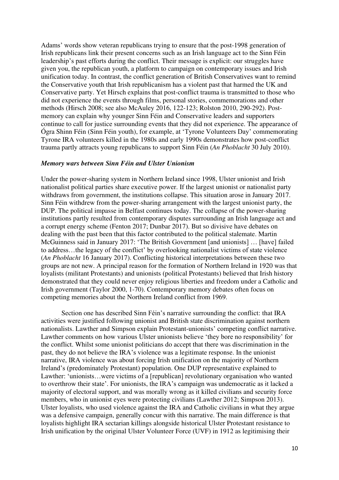Adams' words show veteran republicans trying to ensure that the post-1998 generation of Irish republicans link their present concerns such as an Irish language act to the Sinn Féin leadership's past efforts during the conflict. Their message is explicit: our struggles have given you, the republican youth, a platform to campaign on contemporary issues and Irish unification today. In contrast, the conflict generation of British Conservatives want to remind the Conservative youth that Irish republicanism has a violent past that harmed the UK and Conservative party. Yet Hirsch explains that post-conflict trauma is transmitted to those who did not experience the events through films, personal stories, commemorations and other methods (Hirsch 2008; see also McAuley 2016, 122-123; Rolston 2010, 290-292). Postmemory can explain why younger Sinn Féin and Conservative leaders and supporters continue to call for justice surrounding events that they did not experience. The appearance of Ógra Shinn Féin (Sinn Féin youth), for example, at 'Tyrone Volunteers Day' commemorating Tyrone IRA volunteers killed in the 1980s and early 1990s demonstrates how post-conflict trauma partly attracts young republicans to support Sinn Féin (*An Phoblacht* 30 July 2010).

#### *Memory wars between Sinn Féin and Ulster Unionism*

Under the power-sharing system in Northern Ireland since 1998, Ulster unionist and Irish nationalist political parties share executive power. If the largest unionist or nationalist party withdraws from government, the institutions collapse. This situation arose in January 2017. Sinn Féin withdrew from the power-sharing arrangement with the largest unionist party, the DUP. The political impasse in Belfast continues today. The collapse of the power-sharing institutions partly resulted from contemporary disputes surrounding an Irish language act and a corrupt energy scheme (Fenton 2017; Dunbar 2017). But so divisive have debates on dealing with the past been that this factor contributed to the political stalemate. Martin McGuinness said in January 2017: 'The British Government [and unionists] … [have] failed to address…the legacy of the conflict' by overlooking nationalist victims of state violence (*An Phoblacht* 16 January 2017). Conflicting historical interpretations between these two groups are not new. A principal reason for the formation of Northern Ireland in 1920 was that loyalists (militant Protestants) and unionists (political Protestants) believed that Irish history demonstrated that they could never enjoy religious liberties and freedom under a Catholic and Irish government (Taylor 2000, 1-70). Contemporary memory debates often focus on competing memories about the Northern Ireland conflict from 1969.

 Section one has described Sinn Féin's narrative surrounding the conflict: that IRA activities were justified following unionist and British state discrimination against northern nationalists. Lawther and Simpson explain Protestant-unionists' competing conflict narrative. Lawther comments on how various Ulster unionists believe 'they bore no responsibility' for the conflict. Whilst some unionist politicians do accept that there was discrimination in the past, they do not believe the IRA's violence was a legitimate response. In the unionist narrative, IRA violence was about forcing Irish unification on the majority of Northern Ireland's (predominately Protestant) population. One DUP representative explained to Lawther: 'unionists…were victims of a [republican] revolutionary organisation who wanted to overthrow their state'. For unionists, the IRA's campaign was undemocratic as it lacked a majority of electoral support, and was morally wrong as it killed civilians and security force members, who in unionist eyes were protecting civilians (Lawther 2012; Simpson 2013). Ulster loyalists, who used violence against the IRA and Catholic civilians in what they argue was a defensive campaign, generally concur with this narrative. The main difference is that loyalists highlight IRA sectarian killings alongside historical Ulster Protestant resistance to Irish unification by the original Ulster Volunteer Force (UVF) in 1912 as legitimising their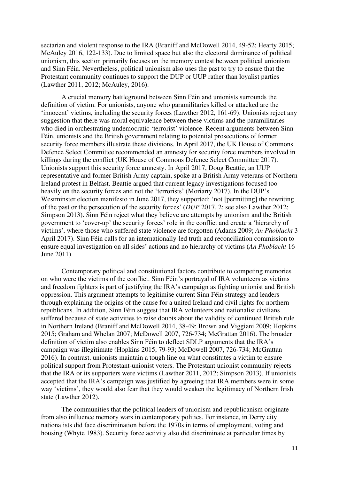sectarian and violent response to the IRA (Braniff and McDowell 2014, 49-52; Hearty 2015; McAuley 2016, 122-133). Due to limited space but also the electoral dominance of political unionism, this section primarily focuses on the memory contest between political unionism and Sinn Féin. Nevertheless, political unionism also uses the past to try to ensure that the Protestant community continues to support the DUP or UUP rather than loyalist parties (Lawther 2011, 2012; McAuley, 2016).

A crucial memory battleground between Sinn Féin and unionists surrounds the definition of victim. For unionists, anyone who paramilitaries killed or attacked are the 'innocent' victims, including the security forces (Lawther 2012, 161-69). Unionists reject any suggestion that there was moral equivalence between these victims and the paramilitaries who died in orchestrating undemocratic 'terrorist' violence. Recent arguments between Sinn Féin, unionists and the British government relating to potential prosecutions of former security force members illustrate these divisions. In April 2017, the UK House of Commons Defence Select Committee recommended an amnesty for security force members involved in killings during the conflict (UK House of Commons Defence Select Committee 2017). Unionists support this security force amnesty. In April 2017, Doug Beattie, an UUP representative and former British Army captain, spoke at a British Army veterans of Northern Ireland protest in Belfast. Beattie argued that current legacy investigations focused too heavily on the security forces and not the 'terrorists' (Moriarty 2017). In the DUP's Westminster election manifesto in June 2017, they supported: 'not [permitting] the rewriting of the past or the persecution of the security forces' (*DUP* 2017, 2; see also Lawther 2012; Simpson 2013). Sinn Féin reject what they believe are attempts by unionism and the British government to 'cover-up' the security forces' role in the conflict and create a 'hierarchy of victims', where those who suffered state violence are forgotten (Adams 2009; *An Phoblacht* 3 April 2017). Sinn Féin calls for an internationally-led truth and reconciliation commission to ensure equal investigation on all sides' actions and no hierarchy of victims (*An Phoblacht* 16 June 2011).

Contemporary political and constitutional factors contribute to competing memories on who were the victims of the conflict. Sinn Féin's portrayal of IRA volunteers as victims and freedom fighters is part of justifying the IRA's campaign as fighting unionist and British oppression. This argument attempts to legitimise current Sinn Féin strategy and leaders through explaining the origins of the cause for a united Ireland and civil rights for northern republicans. In addition, Sinn Féin suggest that IRA volunteers and nationalist civilians suffered because of state activities to raise doubts about the validity of continued British rule in Northern Ireland (Braniff and McDowell 2014, 38-49; Brown and Viggiani 2009; Hopkins 2015; Graham and Whelan 2007; McDowell 2007, 726-734; McGrattan 2016). The broader definition of victim also enables Sinn Féin to deflect SDLP arguments that the IRA's campaign was illegitimate (Hopkins 2015, 79-93; McDowell 2007, 726-734; McGrattan 2016). In contrast, unionists maintain a tough line on what constitutes a victim to ensure political support from Protestant-unionist voters. The Protestant unionist community rejects that the IRA or its supporters were victims (Lawther 2011, 2012; Simpson 2013). If unionists accepted that the IRA's campaign was justified by agreeing that IRA members were in some way 'victims', they would also fear that they would weaken the legitimacy of Northern Irish state (Lawther 2012).

The communities that the political leaders of unionism and republicanism originate from also influence memory wars in contemporary politics. For instance, in Derry city nationalists did face discrimination before the 1970s in terms of employment, voting and housing (Whyte 1983). Security force activity also did discriminate at particular times by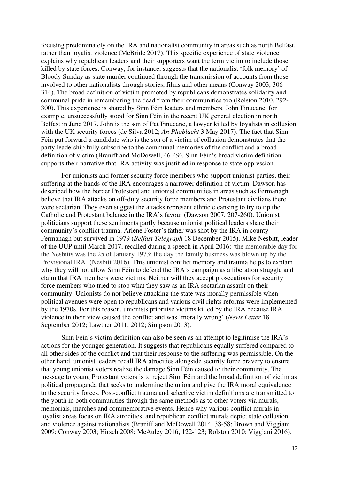focusing predominately on the IRA and nationalist community in areas such as north Belfast, rather than loyalist violence (McBride 2017). This specific experience of state violence explains why republican leaders and their supporters want the term victim to include those killed by state forces. Conway, for instance, suggests that the nationalist 'folk memory' of Bloody Sunday as state murder continued through the transmission of accounts from those involved to other nationalists through stories, films and other means (Conway 2003, 306- 314). The broad definition of victim promoted by republicans demonstrates solidarity and communal pride in remembering the dead from their communities too (Rolston 2010, 292- 300). This experience is shared by Sinn Féin leaders and members. John Finucane, for example, unsuccessfully stood for Sinn Féin in the recent UK general election in north Belfast in June 2017. John is the son of Pat Finucane, a lawyer killed by loyalists in collusion with the UK security forces (de Silva 2012; *An Phoblacht* 3 May 2017). The fact that Sinn Féin put forward a candidate who is the son of a victim of collusion demonstrates that the party leadership fully subscribe to the communal memories of the conflict and a broad definition of victim (Braniff and McDowell, 46-49). Sinn Féin's broad victim definition supports their narrative that IRA activity was justified in response to state oppression.

For unionists and former security force members who support unionist parties, their suffering at the hands of the IRA encourages a narrower definition of victim. Dawson has described how the border Protestant and unionist communities in areas such as Fermanagh believe that IRA attacks on off-duty security force members and Protestant civilians there were sectarian. They even suggest the attacks represent ethnic cleansing to try to tip the Catholic and Protestant balance in the IRA's favour (Dawson 2007, 207-260). Unionist politicians support these sentiments partly because unionist political leaders share their community's conflict trauma. Arlene Foster's father was shot by the IRA in county Fermanagh but survived in 1979 (*Belfast Telegraph* 18 December 2015). Mike Nesbitt, leader of the UUP until March 2017, recalled during a speech in April 2016: 'the memorable day for the Nesbitts was the 25 of January 1973; the day the family business was blown up by the Provisional IRA' (Nesbitt 2016). This unionist conflict memory and trauma helps to explain why they will not allow Sinn Féin to defend the IRA's campaign as a liberation struggle and claim that IRA members were victims. Neither will they accept prosecutions for security force members who tried to stop what they saw as an IRA sectarian assault on their community. Unionists do not believe attacking the state was morally permissible when political avenues were open to republicans and various civil rights reforms were implemented by the 1970s. For this reason, unionists prioritise victims killed by the IRA because IRA violence in their view caused the conflict and was 'morally wrong' (*News Letter* 18 September 2012; Lawther 2011, 2012; Simpson 2013).

Sinn Féin's victim definition can also be seen as an attempt to legitimise the IRA's actions for the younger generation. It suggests that republicans equally suffered compared to all other sides of the conflict and that their response to the suffering was permissible. On the other hand, unionist leaders recall IRA atrocities alongside security force bravery to ensure that young unionist voters realize the damage Sinn Féin caused to their community. The message to young Protestant voters is to reject Sinn Féin and the broad definition of victim as political propaganda that seeks to undermine the union and give the IRA moral equivalence to the security forces. Post-conflict trauma and selective victim definitions are transmitted to the youth in both communities through the same methods as to other voters via murals, memorials, marches and commemorative events. Hence why various conflict murals in loyalist areas focus on IRA atrocities, and republican conflict murals depict state collusion and violence against nationalists (Braniff and McDowell 2014, 38-58; Brown and Viggiani 2009; Conway 2003; Hirsch 2008; McAuley 2016, 122-123; Rolston 2010; Viggiani 2016).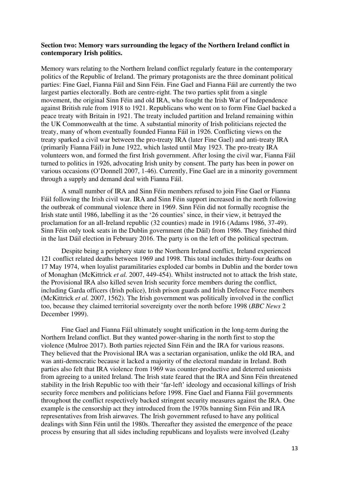### **Section two: Memory wars surrounding the legacy of the Northern Ireland conflict in contemporary Irish politics.**

Memory wars relating to the Northern Ireland conflict regularly feature in the contemporary politics of the Republic of Ireland. The primary protagonists are the three dominant political parties: Fine Gael, Fianna Fáil and Sinn Féin. Fine Gael and Fianna Fáil are currently the two largest parties electorally. Both are centre-right. The two parties split from a single movement, the original Sinn Féin and old IRA, who fought the Irish War of Independence against British rule from 1918 to 1921. Republicans who went on to form Fine Gael backed a peace treaty with Britain in 1921. The treaty included partition and Ireland remaining within the UK Commonwealth at the time. A substantial minority of Irish politicians rejected the treaty, many of whom eventually founded Fianna Fáil in 1926. Conflicting views on the treaty sparked a civil war between the pro-treaty IRA (later Fine Gael) and anti-treaty IRA (primarily Fianna Fáil) in June 1922, which lasted until May 1923. The pro-treaty IRA volunteers won, and formed the first Irish government. After losing the civil war, Fianna Fáil turned to politics in 1926, advocating Irish unity by consent. The party has been in power on various occasions (O'Donnell 2007, 1-46). Currently, Fine Gael are in a minority government through a supply and demand deal with Fianna Fáil.

A small number of IRA and Sinn Féin members refused to join Fine Gael or Fianna Fáil following the Irish civil war. IRA and Sinn Féin support increased in the north following the outbreak of communal violence there in 1969. Sinn Féin did not formally recognise the Irish state until 1986, labelling it as the '26 counties' since, in their view, it betrayed the proclamation for an all-Ireland republic (32 counties) made in 1916 (Adams 1986, 37-49). Sinn Féin only took seats in the Dublin government (the Dáil) from 1986. They finished third in the last Dáil election in February 2016. The party is on the left of the political spectrum.

 Despite being a periphery state to the Northern Ireland conflict, Ireland experienced 121 conflict related deaths between 1969 and 1998. This total includes thirty-four deaths on 17 May 1974, when loyalist paramilitaries exploded car bombs in Dublin and the border town of Monaghan (McKittrick *et al.* 2007, 449-454). Whilst instructed not to attack the Irish state, the Provisional IRA also killed seven Irish security force members during the conflict, including Garda officers (Irish police), Irish prison guards and Irish Defence Force members (McKittrick *et al.* 2007, 1562). The Irish government was politically involved in the conflict too, because they claimed territorial sovereignty over the north before 1998 (*BBC News* 2 December 1999).

Fine Gael and Fianna Fáil ultimately sought unification in the long-term during the Northern Ireland conflict. But they wanted power-sharing in the north first to stop the violence (Mulroe 2017). Both parties rejected Sinn Féin and the IRA for various reasons. They believed that the Provisional IRA was a sectarian organisation, unlike the old IRA, and was anti-democratic because it lacked a majority of the electoral mandate in Ireland. Both parties also felt that IRA violence from 1969 was counter-productive and deterred unionists from agreeing to a united Ireland. The Irish state feared that the IRA and Sinn Féin threatened stability in the Irish Republic too with their 'far-left' ideology and occasional killings of Irish security force members and politicians before 1998. Fine Gael and Fianna Fáil governments throughout the conflict respectively backed stringent security measures against the IRA. One example is the censorship act they introduced from the 1970s banning Sinn Féin and IRA representatives from Irish airwaves. The Irish government refused to have any political dealings with Sinn Féin until the 1980s. Thereafter they assisted the emergence of the peace process by ensuring that all sides including republicans and loyalists were involved (Leahy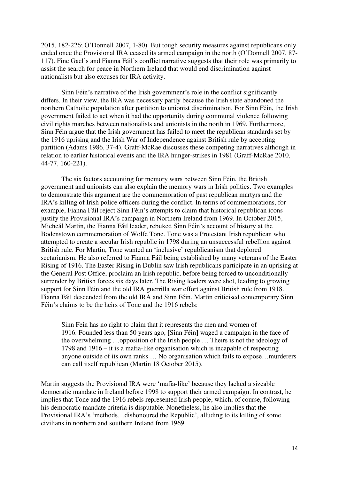2015, 182-226; O'Donnell 2007, 1-80). But tough security measures against republicans only ended once the Provisional IRA ceased its armed campaign in the north (O'Donnell 2007, 87- 117). Fine Gael's and Fianna Fáil's conflict narrative suggests that their role was primarily to assist the search for peace in Northern Ireland that would end discrimination against nationalists but also excuses for IRA activity.

Sinn Féin's narrative of the Irish government's role in the conflict significantly differs. In their view, the IRA was necessary partly because the Irish state abandoned the northern Catholic population after partition to unionist discrimination. For Sinn Féin, the Irish government failed to act when it had the opportunity during communal violence following civil rights marches between nationalists and unionists in the north in 1969. Furthermore, Sinn Féin argue that the Irish government has failed to meet the republican standards set by the 1916 uprising and the Irish War of Independence against British rule by accepting partition (Adams 1986, 37-4). Graff-McRae discusses these competing narratives although in relation to earlier historical events and the IRA hunger-strikes in 1981 (Graff-McRae 2010, 44-77, 160-221).

The six factors accounting for memory wars between Sinn Féin, the British government and unionists can also explain the memory wars in Irish politics. Two examples to demonstrate this argument are the commemoration of past republican martyrs and the IRA's killing of Irish police officers during the conflict. In terms of commemorations, for example, Fianna Fáil reject Sinn Féin's attempts to claim that historical republican icons justify the Provisional IRA's campaign in Northern Ireland from 1969. In October 2015, Micheál Martin, the Fianna Fáil leader, rebuked Sinn Féin's account of history at the Bodenstown commemoration of Wolfe Tone. Tone was a Protestant Irish republican who attempted to create a secular Irish republic in 1798 during an unsuccessful rebellion against British rule. For Martin, Tone wanted an 'inclusive' republicanism that deplored sectarianism. He also referred to Fianna Fáil being established by many veterans of the Easter Rising of 1916. The Easter Rising in Dublin saw Irish republicans participate in an uprising at the General Post Office, proclaim an Irish republic, before being forced to unconditionally surrender by British forces six days later. The Rising leaders were shot, leading to growing support for Sinn Féin and the old IRA guerrilla war effort against British rule from 1918. Fianna Fáil descended from the old IRA and Sinn Féin. Martin criticised contemporary Sinn Féin's claims to be the heirs of Tone and the 1916 rebels:

Sinn Fein has no right to claim that it represents the men and women of 1916. Founded less than 50 years ago, [Sinn Féin] waged a campaign in the face of the overwhelming …opposition of the Irish people … Theirs is not the ideology of 1798 and 1916 – it is a mafia-like organisation which is incapable of respecting anyone outside of its own ranks … No organisation which fails to expose…murderers can call itself republican (Martin 18 October 2015).

Martin suggests the Provisional IRA were 'mafia-like' because they lacked a sizeable democratic mandate in Ireland before 1998 to support their armed campaign. In contrast, he implies that Tone and the 1916 rebels represented Irish people, which, of course, following his democratic mandate criteria is disputable. Nonetheless, he also implies that the Provisional IRA's 'methods…dishonoured the Republic', alluding to its killing of some civilians in northern and southern Ireland from 1969.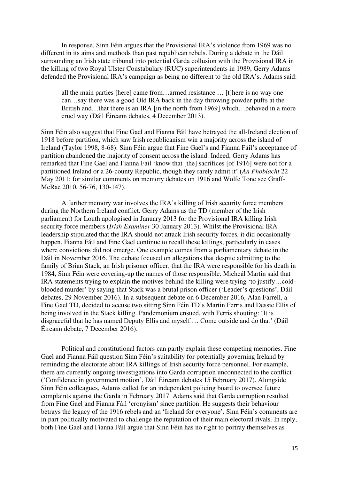In response, Sinn Féin argues that the Provisional IRA's violence from 1969 was no different in its aims and methods than past republican rebels. During a debate in the Dáil surrounding an Irish state tribunal into potential Garda collusion with the Provisional IRA in the killing of two Royal Ulster Constabulary (RUC) superintendents in 1989, Gerry Adams defended the Provisional IRA's campaign as being no different to the old IRA's. Adams said:

all the main parties [here] came from…armed resistance … [t]here is no way one can…say there was a good Old IRA back in the day throwing powder puffs at the British and…that there is an IRA [in the north from 1969] which…behaved in a more cruel way (Dáil Éireann debates, 4 December 2013).

Sinn Féin also suggest that Fine Gael and Fianna Fáil have betrayed the all-Ireland election of 1918 before partition, which saw Irish republicanism win a majority across the island of Ireland (Taylor 1998, 8-68). Sinn Féin argue that Fine Gael's and Fianna Fáil's acceptance of partition abandoned the majority of consent across the island. Indeed, Gerry Adams has remarked that Fine Gael and Fianna Fáil 'know that [the] sacrifices [of 1916] were not for a partitioned Ireland or a 26-county Republic, though they rarely admit it' (*An Phoblacht* 22 May 2011; for similar comments on memory debates on 1916 and Wolfe Tone see Graff-McRae 2010, 56-76, 130-147).

A further memory war involves the IRA's killing of Irish security force members during the Northern Ireland conflict. Gerry Adams as the TD (member of the Irish parliament) for Louth apologised in January 2013 for the Provisional IRA killing Irish security force members (*Irish Examiner* 30 January 2013). Whilst the Provisional IRA leadership stipulated that the IRA should not attack Irish security forces, it did occasionally happen. Fianna Fáil and Fine Gael continue to recall these killings, particularly in cases where convictions did not emerge. One example comes from a parliamentary debate in the Dáil in November 2016. The debate focused on allegations that despite admitting to the family of Brian Stack, an Irish prisoner officer, that the IRA were responsible for his death in 1984, Sinn Féin were covering-up the names of those responsible. Micheál Martin said that IRA statements trying to explain the motives behind the killing were trying 'to justify…coldblooded murder' by saying that Stack was a brutal prison officer ('Leader's questions', Dáil debates, 29 November 2016). In a subsequent debate on 6 December 2016, Alan Farrell, a Fine Gael TD, decided to accuse two sitting Sinn Féin TD's Martin Ferris and Dessie Ellis of being involved in the Stack killing. Pandemonium ensued, with Ferris shouting: 'It is disgraceful that he has named Deputy Ellis and myself … Come outside and do that' (Dáil Éireann debate, 7 December 2016).

Political and constitutional factors can partly explain these competing memories. Fine Gael and Fianna Fáil question Sinn Féin's suitability for potentially governing Ireland by reminding the electorate about IRA killings of Irish security force personnel. For example, there are currently ongoing investigations into Garda corruption unconnected to the conflict ('Confidence in government motion', Dáil Éireann debates 15 February 2017). Alongside Sinn Féin colleagues, Adams called for an independent policing board to oversee future complaints against the Garda in February 2017. Adams said that Garda corruption resulted from Fine Gael and Fianna Fáil 'cronyism' since partition. He suggests their behaviour betrays the legacy of the 1916 rebels and an 'Ireland for everyone'. Sinn Féin's comments are in part politically motivated to challenge the reputation of their main electoral rivals. In reply, both Fine Gael and Fianna Fáil argue that Sinn Féin has no right to portray themselves as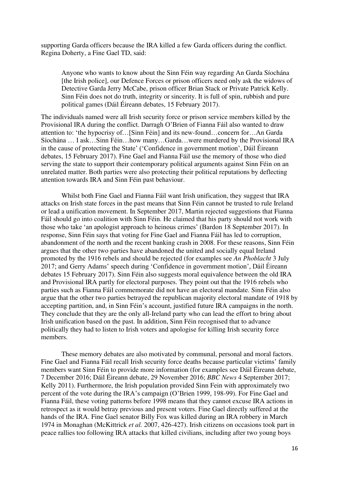supporting Garda officers because the IRA killed a few Garda officers during the conflict. Regina Doherty, a Fine Gael TD, said:

Anyone who wants to know about the Sinn Féin way regarding An Garda Síochána [the Irish police], our Defence Forces or prison officers need only ask the widows of Detective Garda Jerry McCabe, prison officer Brian Stack or Private Patrick Kelly. Sinn Féin does not do truth, integrity or sincerity. It is full of spin, rubbish and pure political games (Dáil Éireann debates, 15 February 2017).

The individuals named were all Irish security force or prison service members killed by the Provisional IRA during the conflict. Darragh O'Brien of Fianna Fáil also wanted to draw attention to: 'the hypocrisy of…[Sinn Féin] and its new-found…concern for…An Garda Síochána … I ask…Sinn Féin…how many…Garda…were murdered by the Provisional IRA in the cause of protecting the State' ('Confidence in government motion', Dáil Éireann debates, 15 February 2017). Fine Gael and Fianna Fáil use the memory of those who died serving the state to support their contemporary political arguments against Sinn Féin on an unrelated matter. Both parties were also protecting their political reputations by deflecting attention towards IRA and Sinn Féin past behaviour.

Whilst both Fine Gael and Fianna Fáil want Irish unification, they suggest that IRA attacks on Irish state forces in the past means that Sinn Féin cannot be trusted to rule Ireland or lead a unification movement. In September 2017, Martin rejected suggestions that Fianna Fáil should go into coalition with Sinn Féin. He claimed that his party should not work with those who take 'an apologist approach to heinous crimes' (Bardon 18 September 2017). In response, Sinn Féin says that voting for Fine Gael and Fianna Fáil has led to corruption, abandonment of the north and the recent banking crash in 2008. For these reasons, Sinn Féin argues that the other two parties have abandoned the united and socially equal Ireland promoted by the 1916 rebels and should be rejected (for examples see *An Phoblacht* 3 July 2017; and Gerry Adams' speech during 'Confidence in government motion', Dáil Éireann debates 15 February 2017). Sinn Féin also suggests moral equivalence between the old IRA and Provisional IRA partly for electoral purposes. They point out that the 1916 rebels who parties such as Fianna Fáil commemorate did not have an electoral mandate. Sinn Féin also argue that the other two parties betrayed the republican majority electoral mandate of 1918 by accepting partition, and, in Sinn Féin's account, justified future IRA campaigns in the north. They conclude that they are the only all-Ireland party who can lead the effort to bring about Irish unification based on the past. In addition, Sinn Féin recognised that to advance politically they had to listen to Irish voters and apologise for killing Irish security force members.

These memory debates are also motivated by communal, personal and moral factors. Fine Gael and Fianna Fáil recall Irish security force deaths because particular victims' family members want Sinn Féin to provide more information (for examples see Dáil Éireann debate, 7 December 2016; Dáil Éireann debate, 29 November 2016; *BBC News* 4 September 2017; Kelly 2011). Furthermore, the Irish population provided Sinn Fein with approximately two percent of the vote during the IRA's campaign (O'Brien 1999, 198-99). For Fine Gael and Fianna Fáil, these voting patterns before 1998 means that they cannot excuse IRA actions in retrospect as it would betray previous and present voters. Fine Gael directly suffered at the hands of the IRA. Fine Gael senator Billy Fox was killed during an IRA robbery in March 1974 in Monaghan (McKittrick *et al.* 2007, 426-427). Irish citizens on occasions took part in peace rallies too following IRA attacks that killed civilians, including after two young boys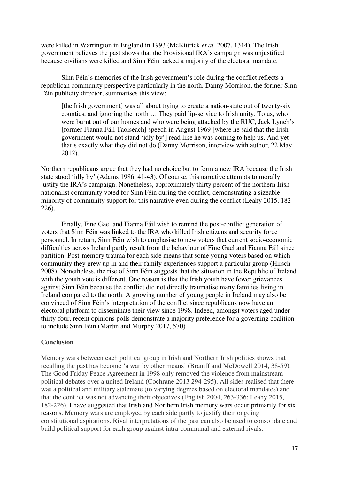were killed in Warrington in England in 1993 (McKittrick *et al.* 2007, 1314). The Irish government believes the past shows that the Provisional IRA's campaign was unjustified because civilians were killed and Sinn Féin lacked a majority of the electoral mandate.

Sinn Féin's memories of the Irish government's role during the conflict reflects a republican community perspective particularly in the north. Danny Morrison, the former Sinn Féin publicity director, summarises this view:

[the Irish government] was all about trying to create a nation-state out of twenty-six counties, and ignoring the north … They paid lip-service to Irish unity. To us, who were burnt out of our homes and who were being attacked by the RUC, Jack Lynch's [former Fianna Fáil Taoiseach] speech in August 1969 [where he said that the Irish government would not stand 'idly by'] read like he was coming to help us. And yet that's exactly what they did not do (Danny Morrison, interview with author, 22 May 2012).

Northern republicans argue that they had no choice but to form a new IRA because the Irish state stood 'idly by' (Adams 1986, 41-43). Of course, this narrative attempts to morally justify the IRA's campaign. Nonetheless, approximately thirty percent of the northern Irish nationalist community voted for Sinn Féin during the conflict, demonstrating a sizeable minority of community support for this narrative even during the conflict (Leahy 2015, 182- 226).

 Finally, Fine Gael and Fianna Fáil wish to remind the post-conflict generation of voters that Sinn Féin was linked to the IRA who killed Irish citizens and security force personnel. In return, Sinn Féin wish to emphasise to new voters that current socio-economic difficulties across Ireland partly result from the behaviour of Fine Gael and Fianna Fáil since partition. Post-memory trauma for each side means that some young voters based on which community they grew up in and their family experiences support a particular group (Hirsch 2008). Nonetheless, the rise of Sinn Féin suggests that the situation in the Republic of Ireland with the youth vote is different. One reason is that the Irish youth have fewer grievances against Sinn Féin because the conflict did not directly traumatise many families living in Ireland compared to the north. A growing number of young people in Ireland may also be convinced of Sinn Féin's interpretation of the conflict since republicans now have an electoral platform to disseminate their view since 1998. Indeed, amongst voters aged under thirty-four, recent opinions polls demonstrate a majority preference for a governing coalition to include Sinn Féin (Martin and Murphy 2017, 570)*.* 

#### **Conclusion**

Memory wars between each political group in Irish and Northern Irish politics shows that recalling the past has become 'a war by other means' (Braniff and McDowell 2014, 38-59). The Good Friday Peace Agreement in 1998 only removed the violence from mainstream political debates over a united Ireland (Cochrane 2013 294-295). All sides realised that there was a political and military stalemate (to varying degrees based on electoral mandates) and that the conflict was not advancing their objectives (English 2004, 263-336; Leahy 2015, 182-226). I have suggested that Irish and Northern Irish memory wars occur primarily for six reasons. Memory wars are employed by each side partly to justify their ongoing constitutional aspirations. Rival interpretations of the past can also be used to consolidate and build political support for each group against intra-communal and external rivals.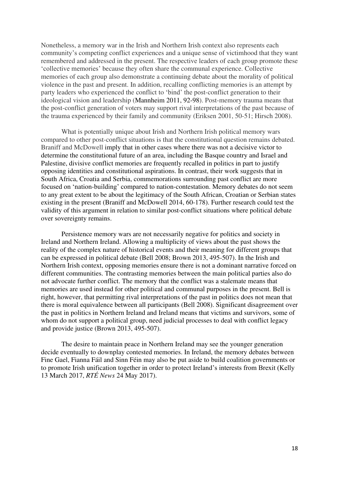Nonetheless, a memory war in the Irish and Northern Irish context also represents each community's competing conflict experiences and a unique sense of victimhood that they want remembered and addressed in the present. The respective leaders of each group promote these 'collective memories' because they often share the communal experience. Collective memories of each group also demonstrate a continuing debate about the morality of political violence in the past and present. In addition, recalling conflicting memories is an attempt by party leaders who experienced the conflict to 'bind' the post-conflict generation to their ideological vision and leadership (Mannheim 2011, 92-98). Post-memory trauma means that the post-conflict generation of voters may support rival interpretations of the past because of the trauma experienced by their family and community (Eriksen 2001, 50-51; Hirsch 2008).

What is potentially unique about Irish and Northern Irish political memory wars compared to other post-conflict situations is that the constitutional question remains debated. Braniff and McDowell imply that in other cases where there was not a decisive victor to determine the constitutional future of an area, including the Basque country and Israel and Palestine, divisive conflict memories are frequently recalled in politics in part to justify opposing identities and constitutional aspirations. In contrast, their work suggests that in South Africa, Croatia and Serbia, commemorations surrounding past conflict are more focused on 'nation-building' compared to nation-contestation. Memory debates do not seem to any great extent to be about the legitimacy of the South African, Croatian or Serbian states existing in the present (Braniff and McDowell 2014, 60-178). Further research could test the validity of this argument in relation to similar post-conflict situations where political debate over sovereignty remains.

Persistence memory wars are not necessarily negative for politics and society in Ireland and Northern Ireland. Allowing a multiplicity of views about the past shows the reality of the complex nature of historical events and their meaning for different groups that can be expressed in political debate (Bell 2008; Brown 2013, 495-507). In the Irish and Northern Irish context, opposing memories ensure there is not a dominant narrative forced on different communities. The contrasting memories between the main political parties also do not advocate further conflict. The memory that the conflict was a stalemate means that memories are used instead for other political and communal purposes in the present. Bell is right, however, that permitting rival interpretations of the past in politics does not mean that there is moral equivalence between all participants (Bell 2008). Significant disagreement over the past in politics in Northern Ireland and Ireland means that victims and survivors, some of whom do not support a political group, need judicial processes to deal with conflict legacy and provide justice (Brown 2013, 495-507).

The desire to maintain peace in Northern Ireland may see the younger generation decide eventually to downplay contested memories. In Ireland, the memory debates between Fine Gael, Fianna Fáil and Sinn Féin may also be put aside to build coalition governments or to promote Irish unification together in order to protect Ireland's interests from Brexit (Kelly 13 March 2017, *RTÉ News* 24 May 2017).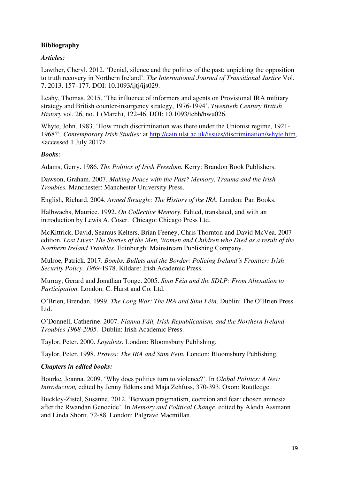# **Bibliography**

# *Articles:*

Lawther, Cheryl. 2012. 'Denial, silence and the politics of the past: unpicking the opposition to truth recovery in Northern Ireland'. *The International Journal of Transitional Justice* Vol. 7, 2013, 157–177. DOI: 10.1093/ijtj/ijs029.

Leahy, Thomas. 2015. 'The influence of informers and agents on Provisional IRA military strategy and British counter-insurgency strategy, 1976-1994'. *Twentieth Century British History* vol. 26, no. 1 (March), 122-46. DOI: 10.1093/tcbh/hwu026.

Whyte, John. 1983. 'How much discrimination was there under the Unionist regime, 1921- 1968?'. *Contemporary Irish Studies*: at [http://cain.ulst.ac.uk/issues/discrimination/whyte.htm,](http://cain.ulst.ac.uk/issues/discrimination/whyte.htm) <accessed 1 July 2017>.

# *Books:*

Adams, Gerry. 1986. *The Politics of Irish Freedom.* Kerry: Brandon Book Publishers.

Dawson, Graham. 2007. *Making Peace with the Past? Memory, Trauma and the Irish Troubles.* Manchester: Manchester University Press.

English, Richard. 2004. *Armed Struggle: The History of the IRA.* London: Pan Books.

Halbwachs, Maurice. 1992. *On Collective Memory.* Edited, translated, and with an introduction by Lewis A. Coser. Chicago: Chicago Press Ltd.

McKittrick, David, Seamus Kelters, Brian Feeney, Chris Thornton and David McVea. 2007 edition. *Lost Lives: The Stories of the Men, Women and Children who Died as a result of the Northern Ireland Troubles.* Edinburgh: Mainstream Publishing Company.

Mulroe, Patrick. 2017. *Bombs, Bullets and the Border: Policing Ireland's Frontier: Irish Security Policy, 1969-*1978. Kildare: Irish Academic Press.

Murray, Gerard and Jonathan Tonge. 2005. *Sinn Féin and the SDLP: From Alienation to Participation.* London: C. Hurst and Co. Ltd.

O'Brien, Brendan. 1999. *The Long War: The IRA and Sinn Féin*. Dublin: The O'Brien Press Ltd.

O'Donnell, Catherine. 2007. *Fianna Fáil, Irish Republicanism, and the Northern Ireland Troubles 1968-2005.* Dublin: Irish Academic Press.

Taylor, Peter. 2000. *Loyalists.* London: Bloomsbury Publishing.

Taylor, Peter. 1998. *Provos: The IRA and Sinn Fein.* London: Bloomsbury Publishing.

# *Chapters in edited books:*

Bourke, Joanna. 2009. 'Why does politics turn to violence?'. In *Global Politics: A New Introduction,* edited by Jenny Edkins and Maja Zehfuss, 370-393. Oxon: Routledge.

Buckley-Zistel, Susanne. 2012. 'Between pragmatism, coercion and fear: chosen amnesia after the Rwandan Genocide'. In *Memory and Political Change*, edited by Aleida Assmann and Linda Shortt, 72-88. London: Palgrave Macmillan.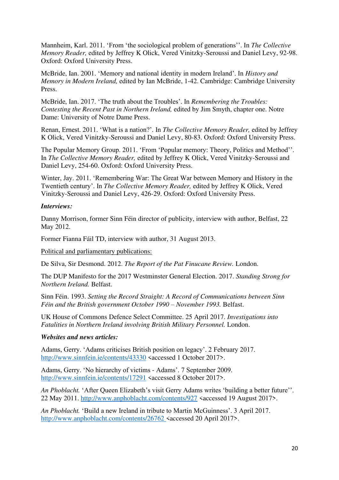Mannheim, Karl. 2011. 'From 'the sociological problem of generations''. In *The Collective Memory Reader,* edited by Jeffrey K Olick, Vered Vinitzky-Seroussi and Daniel Levy, 92-98. Oxford: Oxford University Press.

McBride, Ian. 2001. 'Memory and national identity in modern Ireland'. In *History and Memory in Modern Ireland,* edited by Ian McBride, 1-42. Cambridge: Cambridge University Press.

McBride, Ian. 2017. 'The truth about the Troubles'. In *Remembering the Troubles: Contesting the Recent Past in Northern Ireland,* edited by Jim Smyth, chapter one. Notre Dame: University of Notre Dame Press.

Renan, Ernest. 2011. 'What is a nation?'. In *The Collective Memory Reader,* edited by Jeffrey K Olick, Vered Vinitzky-Seroussi and Daniel Levy, 80-83. Oxford: Oxford University Press.

The Popular Memory Group. 2011. 'From 'Popular memory: Theory, Politics and Method''. In *The Collective Memory Reader,* edited by Jeffrey K Olick, Vered Vinitzky-Seroussi and Daniel Levy, 254-60. Oxford: Oxford University Press.

Winter, Jay. 2011. 'Remembering War: The Great War between Memory and History in the Twentieth century'. In *The Collective Memory Reader,* edited by Jeffrey K Olick, Vered Vinitzky-Seroussi and Daniel Levy, 426-29. Oxford: Oxford University Press.

# *Interviews:*

Danny Morrison, former Sinn Féin director of publicity, interview with author, Belfast, 22 May 2012.

Former Fianna Fáil TD, interview with author, 31 August 2013.

Political and parliamentary publications:

De Silva, Sir Desmond. 2012. *The Report of the Pat Finucane Review.* London.

The DUP Manifesto for the 2017 Westminster General Election. 2017. *Standing Strong for Northern Ireland.* Belfast.

Sinn Féin. 1993. *Setting the Record Straight: A Record of Communications between Sinn Féin and the British government October 1990 – November 1993.* Belfast.

UK House of Commons Defence Select Committee. 25 April 2017. *Investigations into Fatalities in Northern Ireland involving British Military Personnel.* London.

# *Websites and news articles:*

Adams, Gerry. 'Adams criticises British position on legacy'. 2 February 2017. <http://www.sinnfein.ie/contents/43330><accessed 1 October 2017>.

Adams, Gerry. 'No hierarchy of victims - Adams'. 7 September 2009. <http://www.sinnfein.ie/contents/17291><accessed 8 October 2017>.

*An Phoblacht.* 'After Queen Elizabeth's visit Gerry Adams writes 'building a better future''. 22 May 2011.<http://www.anphoblacht.com/contents/927><accessed 19 August 2017>.

*An Phoblacht.* 'Build a new Ireland in tribute to Martin McGuinness'. 3 April 2017. <http://www.anphoblacht.com/contents/26762><accessed 20 April 2017>.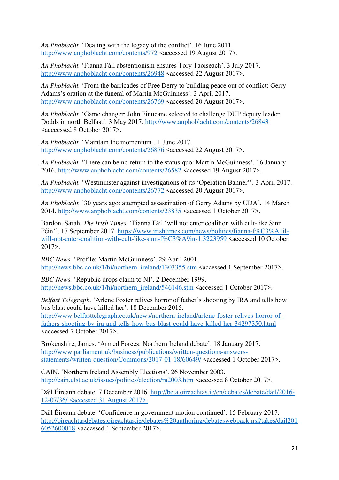*An Phoblacht.* 'Dealing with the legacy of the conflict'. 16 June 2011. <http://www.anphoblacht.com/contents/972><accessed 19 August 2017>.

*An Phoblacht,* 'Fianna Fáil abstentionism ensures Tory Taoiseach'. 3 July 2017. <http://www.anphoblacht.com/contents/26948><accessed 22 August 2017>.

*An Phoblacht.* 'From the barricades of Free Derry to building peace out of conflict: Gerry Adams's oration at the funeral of Martin McGuinness'. 3 April 2017. <http://www.anphoblacht.com/contents/26769><accessed 20 August 2017>.

*An Phoblacht.* 'Game changer: John Finucane selected to challenge DUP deputy leader Dodds in north Belfast'. 3 May 2017. <http://www.anphoblacht.com/contents/26843> <acccessed 8 October 2017>.

*An Phoblacht.* 'Maintain the momentum'. 1 June 2017. <http://www.anphoblacht.com/contents/26876><accessed 22 August 2017>.

*An Phoblacht.* 'There can be no return to the status quo: Martin McGuinness'. 16 January 2016.<http://www.anphoblacht.com/contents/26582><accessed 19 August 2017>.

*An Phoblacht.* 'Westminster against investigations of its 'Operation Banner''. 3 April 2017. <http://www.anphoblacht.com/contents/26772><accessed 20 August 2017>.

*An Phoblacht.* '30 years ago: attempted assassination of Gerry Adams by UDA'. 14 March 2014.<http://www.anphoblacht.com/contents/23835><accessed 1 October 2017>.

Bardon, Sarah. *The Irish Times.* 'Fianna Fáil 'will not enter coalition with cult-like Sinn Féin''. 17 September 2017. [https://www.irishtimes.com/news/politics/fianna-f%C3%A1il](https://www.irishtimes.com/news/politics/fianna-f%C3%A1il-will-not-enter-coalition-with-cult-like-sinn-f%C3%A9in-1.3223959)[will-not-enter-coalition-with-cult-like-sinn-f%C3%A9in-1.3223959](https://www.irishtimes.com/news/politics/fianna-f%C3%A1il-will-not-enter-coalition-with-cult-like-sinn-f%C3%A9in-1.3223959) <accessed 10 October 2017>.

*BBC News.* 'Profile: Martin McGuinness'. 29 April 2001. [http://news.bbc.co.uk/1/hi/northern\\_ireland/1303355.stm](http://news.bbc.co.uk/1/hi/northern_ireland/1303355.stm) <accessed 1 September 2017>.

*BBC News.* 'Republic drops claim to NI'. 2 December 1999. [http://news.bbc.co.uk/1/hi/northern\\_ireland/546146.stm](http://news.bbc.co.uk/1/hi/northern_ireland/546146.stm) <accessed 1 October 2017>.

*Belfast Telegraph.* 'Arlene Foster relives horror of father's shooting by IRA and tells how bus blast could have killed her'. 18 December 2015. [http://www.belfasttelegraph.co.uk/news/northern-ireland/arlene-foster-relives-horror-of](http://www.belfasttelegraph.co.uk/news/northern-ireland/arlene-foster-relives-horror-of-fathers-shooting-by-ira-and-tells-how-bus-blast-could-have-killed-her-34297350.html)[fathers-shooting-by-ira-and-tells-how-bus-blast-could-have-killed-her-34297350.html](http://www.belfasttelegraph.co.uk/news/northern-ireland/arlene-foster-relives-horror-of-fathers-shooting-by-ira-and-tells-how-bus-blast-could-have-killed-her-34297350.html) <accessed 7 October 2017>.

Brokenshire, James. 'Armed Forces: Northern Ireland debate'. 18 January 2017. [http://www.parliament.uk/business/publications/written-questions-answers](http://www.parliament.uk/business/publications/written-questions-answers-statements/written-question/Commons/2017-01-18/60649/)[statements/written-question/Commons/2017-01-18/60649/](http://www.parliament.uk/business/publications/written-questions-answers-statements/written-question/Commons/2017-01-18/60649/) <accessed 1 October 2017>.

CAIN. 'Northern Ireland Assembly Elections'. 26 November 2003. <http://cain.ulst.ac.uk/issues/politics/election/ra2003.htm><accessed 8 October 2017>.

Dáil Éireann debate. 7 December 2016. [http://beta.oireachtas.ie/en/debates/debate/dail/2016-](http://beta.oireachtas.ie/en/debates/debate/dail/2016-12-07/36/) [12-07/36/](http://beta.oireachtas.ie/en/debates/debate/dail/2016-12-07/36/) <accessed 31 August 2017>.

Dáil Éireann debate. 'Confidence in government motion continued'. 15 February 2017. [http://oireachtasdebates.oireachtas.ie/debates%20authoring/debateswebpack.nsf/takes/dail201](http://oireachtasdebates.oireachtas.ie/debates%20authoring/debateswebpack.nsf/takes/dail2016052600018) [6052600018](http://oireachtasdebates.oireachtas.ie/debates%20authoring/debateswebpack.nsf/takes/dail2016052600018) <accessed 1 September 2017>.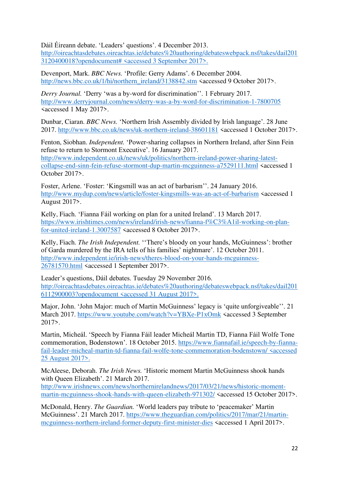Dáil Éireann debate. 'Leaders' questions'. 4 December 2013.

[http://oireachtasdebates.oireachtas.ie/debates%20authoring/debateswebpack.nsf/takes/dail201](http://oireachtasdebates.oireachtas.ie/debates%20authoring/debateswebpack.nsf/takes/dail2013120400018?opendocument) [3120400018?opendocument#](http://oireachtasdebates.oireachtas.ie/debates%20authoring/debateswebpack.nsf/takes/dail2013120400018?opendocument) <accessed 3 September 2017>.

Devenport, Mark. *BBC News.* 'Profile: Gerry Adams'. 6 December 2004. [http://news.bbc.co.uk/1/hi/northern\\_ireland/3138842.stm](http://news.bbc.co.uk/1/hi/northern_ireland/3138842.stm) <accessed 9 October 2017>.

*Derry Journal.* 'Derry 'was a by-word for discrimination''. 1 February 2017. <http://www.derryjournal.com/news/derry-was-a-by-word-for-discrimination-1-7800705> <accessed 1 May 2017>.

Dunbar, Ciaran. *BBC News.* 'Northern Irish Assembly divided by Irish language'. 28 June 2017.<http://www.bbc.co.uk/news/uk-northern-ireland-38601181><accessed 1 October 2017>.

Fenton, Siobhan. *Independent.* 'Power-sharing collapses in Northern Ireland, after Sinn Fein refuse to return to Stormont Executive'. 16 January 2017. [http://www.independent.co.uk/news/uk/politics/northern-ireland-power-sharing-latest](http://www.independent.co.uk/news/uk/politics/northern-ireland-power-sharing-latest-collapse-end-sinn-fein-refuse-stormont-dup-martin-mcguinness-a7529111.html)[collapse-end-sinn-fein-refuse-stormont-dup-martin-mcguinness-a7529111.html](http://www.independent.co.uk/news/uk/politics/northern-ireland-power-sharing-latest-collapse-end-sinn-fein-refuse-stormont-dup-martin-mcguinness-a7529111.html) <accessed 1 October 2017>.

Foster, Arlene. 'Foster: 'Kingsmill was an act of barbarism''. 24 January 2016. <http://www.mydup.com/news/article/foster-kingsmills-was-an-act-of-barbarism><accessed 1 August 2017>.

Kelly, Fiach. 'Fianna Fáil working on plan for a united Ireland'. 13 March 2017. [https://www.irishtimes.com/news/ireland/irish-news/fianna-f%C3%A1il-working-on-plan](https://www.irishtimes.com/news/ireland/irish-news/fianna-f%C3%A1il-working-on-plan-for-united-ireland-1.3007587)[for-united-ireland-1.3007587](https://www.irishtimes.com/news/ireland/irish-news/fianna-f%C3%A1il-working-on-plan-for-united-ireland-1.3007587) <accessed 8 October 2017>.

Kelly, Fiach. *The Irish Independent.* ''There's bloody on your hands, McGuinness': brother of Garda murdered by the IRA tells of his families' nightmare'. 12 October 2011. [http://www.independent.ie/irish-news/theres-blood-on-your-hands-mcguinness-](http://www.independent.ie/irish-news/theres-blood-on-your-hands-mcguinness-26781570.html)[26781570.html](http://www.independent.ie/irish-news/theres-blood-on-your-hands-mcguinness-26781570.html) <accessed 1 September 2017>.

Leader's questions, Dáil debates. Tuesday 29 November 2016. [http://oireachtasdebates.oireachtas.ie/debates%20authoring/debateswebpack.nsf/takes/dail201](http://oireachtasdebates.oireachtas.ie/debates%20authoring/debateswebpack.nsf/takes/dail2016112900003?opendocument) [6112900003?opendocument](http://oireachtasdebates.oireachtas.ie/debates%20authoring/debateswebpack.nsf/takes/dail2016112900003?opendocument) <accessed 31 August 2017>.

Major, John. 'John Major: much of Martin McGuinness' legacy is 'quite unforgiveable''. 21 March 2017.<https://www.youtube.com/watch?v=YBXe-P1xOmk><accessed 3 September 2017>.

Martin, Micheál. 'Speech by Fianna Fáil leader Micheál Martin TD, Fianna Fáil Wolfe Tone commemoration, Bodenstown'. 18 October 2015. [https://www.fiannafail.ie/speech-by-fianna](https://www.fiannafail.ie/speech-by-fianna-fail-leader-micheal-martin-td-fianna-fail-wolfe-tone-commemoration-bodenstown/)[fail-leader-micheal-martin-td-fianna-fail-wolfe-tone-commemoration-bodenstown/](https://www.fiannafail.ie/speech-by-fianna-fail-leader-micheal-martin-td-fianna-fail-wolfe-tone-commemoration-bodenstown/) <accessed 25 August 2017>.

McAleese, Deborah. *The Irish News.* 'Historic moment Martin McGuinness shook hands with Queen Elizabeth'. 21 March 2017. [http://www.irishnews.com/news/northernirelandnews/2017/03/21/news/historic-moment](http://www.irishnews.com/news/northernirelandnews/2017/03/21/news/historic-moment-martin-mcguinness-shook-hands-with-queen-elizabeth-971302/)[martin-mcguinness-shook-hands-with-queen-elizabeth-971302/](http://www.irishnews.com/news/northernirelandnews/2017/03/21/news/historic-moment-martin-mcguinness-shook-hands-with-queen-elizabeth-971302/) <accessed 15 October 2017>.

McDonald, Henry. *The Guardian.* 'World leaders pay tribute to 'peacemaker' Martin McGuinness'. 21 March 2017. [https://www.theguardian.com/politics/2017/mar/21/martin](https://www.theguardian.com/politics/2017/mar/21/martin-mcguinness-northern-ireland-former-deputy-first-minister-dies)[mcguinness-northern-ireland-former-deputy-first-minister-dies](https://www.theguardian.com/politics/2017/mar/21/martin-mcguinness-northern-ireland-former-deputy-first-minister-dies) <accessed 1 April 2017>.